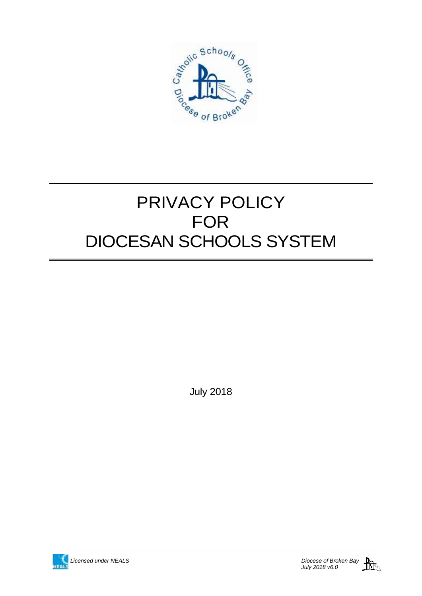

# PRIVACY POLICY FOR DIOCESAN SCHOOLS SYSTEM

July 2018

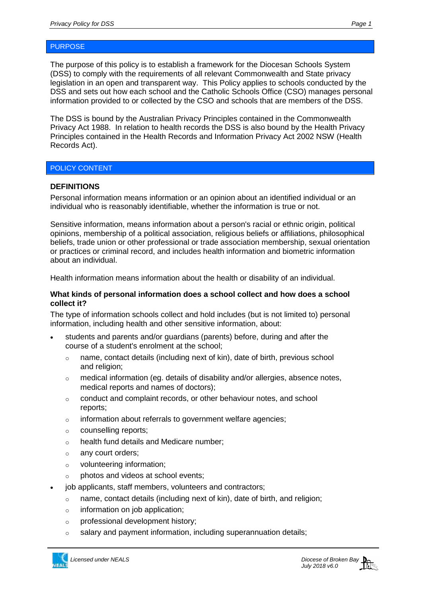The purpose of this policy is to establish a framework for the Diocesan Schools System (DSS) to comply with the requirements of all relevant Commonwealth and State privacy legislation in an open and transparent way. This Policy applies to schools conducted by the DSS and sets out how each school and the Catholic Schools Office (CSO) manages personal information provided to or collected by the CSO and schools that are members of the DSS.

The DSS is bound by the Australian Privacy Principles contained in the Commonwealth Privacy Act 1988. In relation to health records the DSS is also bound by the Health Privacy Principles contained in the Health Records and Information Privacy Act 2002 NSW (Health Records Act).

# POLICY CONTENT

## **DEFINITIONS**

Personal information means information or an opinion about an identified individual or an individual who is reasonably identifiable, whether the information is true or not.

Sensitive information, means information about a person's racial or ethnic origin, political opinions, membership of a political association, religious beliefs or affiliations, philosophical beliefs, trade union or other professional or trade association membership, sexual orientation or practices or criminal record, and includes health information and biometric information about an individual.

Health information means information about the health or disability of an individual.

#### **What kinds of personal information does a school collect and how does a school collect it?**

The type of information schools collect and hold includes (but is not limited to) personal information, including health and other sensitive information, about:

- students and parents and/or guardians (parents) before, during and after the course of a student's enrolment at the school;
	- $\circ$  name, contact details (including next of kin), date of birth, previous school and religion;
	- $\circ$  medical information (eq. details of disability and/or allergies, absence notes, medical reports and names of doctors);
	- o conduct and complaint records, or other behaviour notes, and school reports;
	- o information about referrals to government welfare agencies;
	- o counselling reports;
	- o health fund details and Medicare number;
	- o any court orders;
	- o volunteering information;
	- o photos and videos at school events;
- job applicants, staff members, volunteers and contractors;
	- o name, contact details (including next of kin), date of birth, and religion;
	- $\circ$  information on job application;
	- o professional development history;
	- $\circ$  salary and payment information, including superannuation details;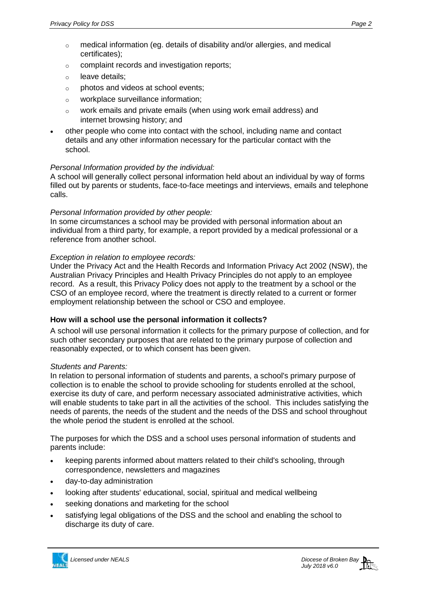- $\circ$  medical information (eg. details of disability and/or allergies, and medical certificates);
- o complaint records and investigation reports;
- o leave details;
- o photos and videos at school events;
- o workplace surveillance information;
- o work emails and private emails (when using work email address) and internet browsing history; and
- other people who come into contact with the school, including name and contact details and any other information necessary for the particular contact with the school.

# *Personal Information provided by the individual:*

A school will generally collect personal information held about an individual by way of forms filled out by parents or students, face-to-face meetings and interviews, emails and telephone calls.

## *Personal Information provided by other people:*

In some circumstances a school may be provided with personal information about an individual from a third party, for example, a report provided by a medical professional or a reference from another school.

## *Exception in relation to employee records:*

Under the Privacy Act and the Health Records and Information Privacy Act 2002 (NSW), the Australian Privacy Principles and Health Privacy Principles do not apply to an employee record. As a result, this Privacy Policy does not apply to the treatment by a school or the CSO of an employee record, where the treatment is directly related to a current or former employment relationship between the school or CSO and employee.

# **How will a school use the personal information it collects?**

A school will use personal information it collects for the primary purpose of collection, and for such other secondary purposes that are related to the primary purpose of collection and reasonably expected, or to which consent has been given.

#### *Students and Parents:*

In relation to personal information of students and parents, a school's primary purpose of collection is to enable the school to provide schooling for students enrolled at the school, exercise its duty of care, and perform necessary associated administrative activities, which will enable students to take part in all the activities of the school. This includes satisfying the needs of parents, the needs of the student and the needs of the DSS and school throughout the whole period the student is enrolled at the school.

The purposes for which the DSS and a school uses personal information of students and parents include:

- keeping parents informed about matters related to their child's schooling, through correspondence, newsletters and magazines
- day-to-day administration
- looking after students' educational, social, spiritual and medical wellbeing
- seeking donations and marketing for the school
- satisfying legal obligations of the DSS and the school and enabling the school to discharge its duty of care.

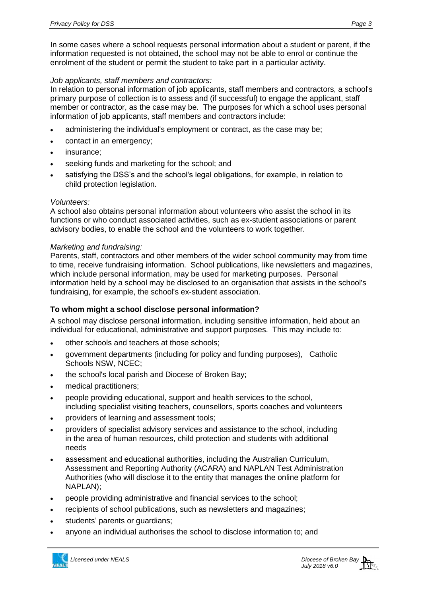In some cases where a school requests personal information about a student or parent, if the information requested is not obtained, the school may not be able to enrol or continue the enrolment of the student or permit the student to take part in a particular activity.

## *Job applicants, staff members and contractors:*

In relation to personal information of job applicants, staff members and contractors, a school's primary purpose of collection is to assess and (if successful) to engage the applicant, staff member or contractor, as the case may be. The purposes for which a school uses personal information of job applicants, staff members and contractors include:

- administering the individual's employment or contract, as the case may be;
- contact in an emergency;
- insurance;
- seeking funds and marketing for the school; and
- satisfying the DSS's and the school's legal obligations, for example, in relation to child protection legislation.

#### *Volunteers:*

A school also obtains personal information about volunteers who assist the school in its functions or who conduct associated activities, such as ex-student associations or parent advisory bodies, to enable the school and the volunteers to work together.

#### *Marketing and fundraising:*

Parents, staff, contractors and other members of the wider school community may from time to time, receive fundraising information. School publications, like newsletters and magazines, which include personal information, may be used for marketing purposes. Personal information held by a school may be disclosed to an organisation that assists in the school's fundraising, for example, the school's ex-student association.

#### **To whom might a school disclose personal information?**

A school may disclose personal information, including sensitive information, held about an individual for educational, administrative and support purposes. This may include to:

- other schools and teachers at those schools;
- government departments (including for policy and funding purposes), Catholic Schools NSW, NCEC;
- the school's local parish and Diocese of Broken Bay;
- medical practitioners;
- people providing educational, support and health services to the school, including specialist visiting teachers, counsellors, sports coaches and volunteers
- providers of learning and assessment tools;
- providers of specialist advisory services and assistance to the school, including in the area of human resources, child protection and students with additional needs
- assessment and educational authorities, including the Australian Curriculum, Assessment and Reporting Authority (ACARA) and NAPLAN Test Administration Authorities (who will disclose it to the entity that manages the online platform for NAPLAN);
- people providing administrative and financial services to the school;
- recipients of school publications, such as newsletters and magazines;
- students' parents or guardians;
- anyone an individual authorises the school to disclose information to; and

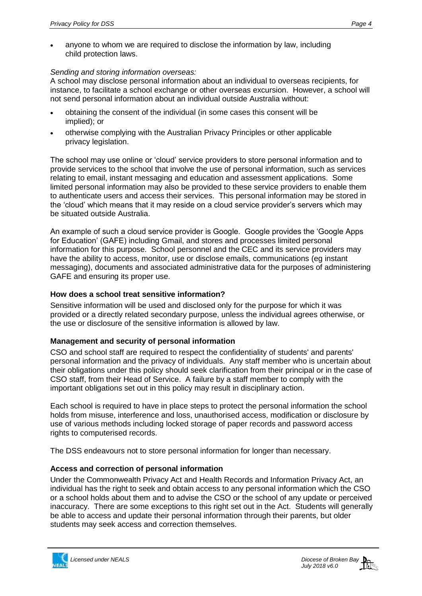anyone to whom we are required to disclose the information by law, including child protection laws.

## *Sending and storing information overseas:*

A school may disclose personal information about an individual to overseas recipients, for instance, to facilitate a school exchange or other overseas excursion. However, a school will not send personal information about an individual outside Australia without:

- obtaining the consent of the individual (in some cases this consent will be implied); or
- otherwise complying with the Australian Privacy Principles or other applicable privacy legislation.

The school may use online or 'cloud' service providers to store personal information and to provide services to the school that involve the use of personal information, such as services relating to email, instant messaging and education and assessment applications. Some limited personal information may also be provided to these service providers to enable them to authenticate users and access their services. This personal information may be stored in the 'cloud' which means that it may reside on a cloud service provider's servers which may be situated outside Australia.

An example of such a cloud service provider is Google. Google provides the 'Google Apps for Education' (GAFE) including Gmail, and stores and processes limited personal information for this purpose. School personnel and the CEC and its service providers may have the ability to access, monitor, use or disclose emails, communications (eg instant messaging), documents and associated administrative data for the purposes of administering GAFE and ensuring its proper use.

## **How does a school treat sensitive information?**

Sensitive information will be used and disclosed only for the purpose for which it was provided or a directly related secondary purpose, unless the individual agrees otherwise, or the use or disclosure of the sensitive information is allowed by law.

# **Management and security of personal information**

CSO and school staff are required to respect the confidentiality of students' and parents' personal information and the privacy of individuals. Any staff member who is uncertain about their obligations under this policy should seek clarification from their principal or in the case of CSO staff, from their Head of Service. A failure by a staff member to comply with the important obligations set out in this policy may result in disciplinary action.

Each school is required to have in place steps to protect the personal information the school holds from misuse, interference and loss, unauthorised access, modification or disclosure by use of various methods including locked storage of paper records and password access rights to computerised records.

The DSS endeavours not to store personal information for longer than necessary.

# **Access and correction of personal information**

Under the Commonwealth Privacy Act and Health Records and Information Privacy Act, an individual has the right to seek and obtain access to any personal information which the CSO or a school holds about them and to advise the CSO or the school of any update or perceived inaccuracy. There are some exceptions to this right set out in the Act. Students will generally be able to access and update their personal information through their parents, but older students may seek access and correction themselves.

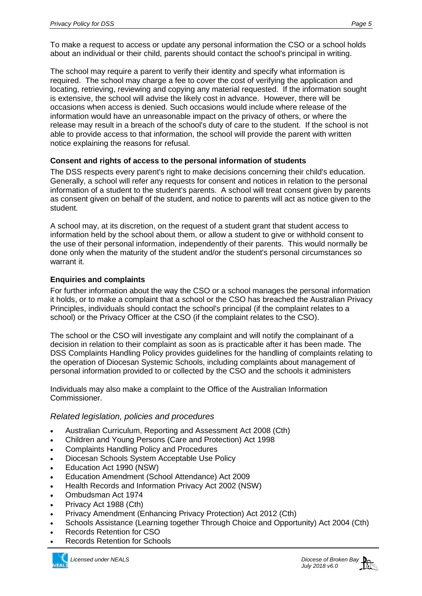To make a request to access or update any personal information the CSO or a school holds about an individual or their child, parents should contact the school's principal in writing.

The school may require a parent to verify their identity and specify what information is required. The school may charge a fee to cover the cost of verifying the application and locating, retrieving, reviewing and copying any material requested. If the information sought is extensive, the school will advise the likely cost in advance. However, there will be occasions when access is denied. Such occasions would include where release of the information would have an unreasonable impact on the privacy of others, or where the release may result in a breach of the school's duty of care to the student. If the school is not able to provide access to that information, the school will provide the parent with written notice explaining the reasons for refusal.

# **Consent and rights of access to the personal information of students**

The DSS respects every parent's right to make decisions concerning their child's education. Generally, a school will refer any requests for consent and notices in relation to the personal information of a student to the student's parents. A school will treat consent given by parents as consent given on behalf of the student, and notice to parents will act as notice given to the student.

A school may, at its discretion, on the request of a student grant that student access to information held by the school about them, or allow a student to give or withhold consent to the use of their personal information, independently of their parents. This would normally be done only when the maturity of the student and/or the student's personal circumstances so warrant it.

# **Enquiries and complaints**

For further information about the way the CSO or a school manages the personal information it holds, or to make a complaint that a school or the CSO has breached the Australian Privacy Principles, individuals should contact the school's principal (if the complaint relates to a school) or the Privacy Officer at the CSO (if the complaint relates to the CSO).

The school or the CSO will investigate any complaint and will notify the complainant of a decision in relation to their complaint as soon as is practicable after it has been made. The DSS Complaints Handling Policy provides guidelines for the handling of complaints relating to the operation of Diocesan Systemic Schools, including complaints about management of personal information provided to or collected by the CSO and the schools it administers

Individuals may also make a complaint to the Office of the Australian Information Commissioner.

# *Related legislation, policies and procedures*

- Australian Curriculum, Reporting and Assessment Act 2008 (Cth)
- Children and Young Persons (Care and Protection) Act 1998
- Complaints Handling Policy and Procedures
- Diocesan Schools System Acceptable Use Policy
- Education Act 1990 (NSW)
- Education Amendment (School Attendance) Act 2009
- Health Records and Information Privacy Act 2002 (NSW)
- Ombudsman Act 1974
- Privacy Act 1988 (Cth)
- Privacy Amendment (Enhancing Privacy Protection) Act 2012 (Cth)
- Schools Assistance (Learning together Through Choice and Opportunity) Act 2004 (Cth)
- Records Retention for CSO
- Records Retention for Schools